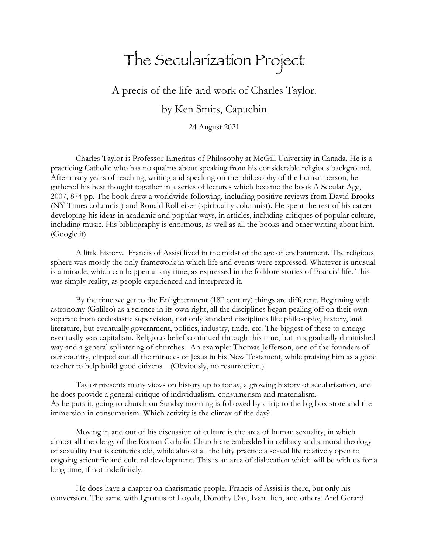## The Secularization Project

A precis of the life and work of Charles Taylor.

by Ken Smits, Capuchin

24 August 2021

Charles Taylor is Professor Emeritus of Philosophy at McGill University in Canada. He is a practicing Catholic who has no qualms about speaking from his considerable religious background. After many years of teaching, writing and speaking on the philosophy of the human person, he gathered his best thought together in a series of lectures which became the book  $\triangle$  Secular Age, 2007, 874 pp. The book drew a worldwide following, including positive reviews from David Brooks (NY Times columnist) and Ronald Rolheiser (spirituality columnist). He spent the rest of his career developing his ideas in academic and popular ways, in articles, including critiques of popular culture, including music. His bibliography is enormous, as well as all the books and other writing about him. (Google it)

A little history. Francis of Assisi lived in the midst of the age of enchantment. The religious sphere was mostly the only framework in which life and events were expressed. Whatever is unusual is a miracle, which can happen at any time, as expressed in the folklore stories of Francis' life. This was simply reality, as people experienced and interpreted it.

By the time we get to the Enlightenment  $(18<sup>th</sup>$  century) things are different. Beginning with astronomy (Galileo) as a science in its own right, all the disciplines began pealing off on their own separate from ecclesiastic supervision, not only standard disciplines like philosophy, history, and literature, but eventually government, politics, industry, trade, etc. The biggest of these to emerge eventually was capitalism. Religious belief continued through this time, but in a gradually diminished way and a general splintering of churches. An example: Thomas Jefferson, one of the founders of our country, clipped out all the miracles of Jesus in his New Testament, while praising him as a good teacher to help build good citizens. (Obviously, no resurrection.)

Taylor presents many views on history up to today, a growing history of secularization, and he does provide a general critique of individualism, consumerism and materialism. As he puts it, going to church on Sunday morning is followed by a trip to the big box store and the immersion in consumerism. Which activity is the climax of the day?

Moving in and out of his discussion of culture is the area of human sexuality, in which almost all the clergy of the Roman Catholic Church are embedded in celibacy and a moral theology of sexuality that is centuries old, while almost all the laity practice a sexual life relatively open to ongoing scientific and cultural development. This is an area of dislocation which will be with us for a long time, if not indefinitely.

He does have a chapter on charismatic people. Francis of Assisi is there, but only his conversion. The same with Ignatius of Loyola, Dorothy Day, Ivan Ilich, and others. And Gerard